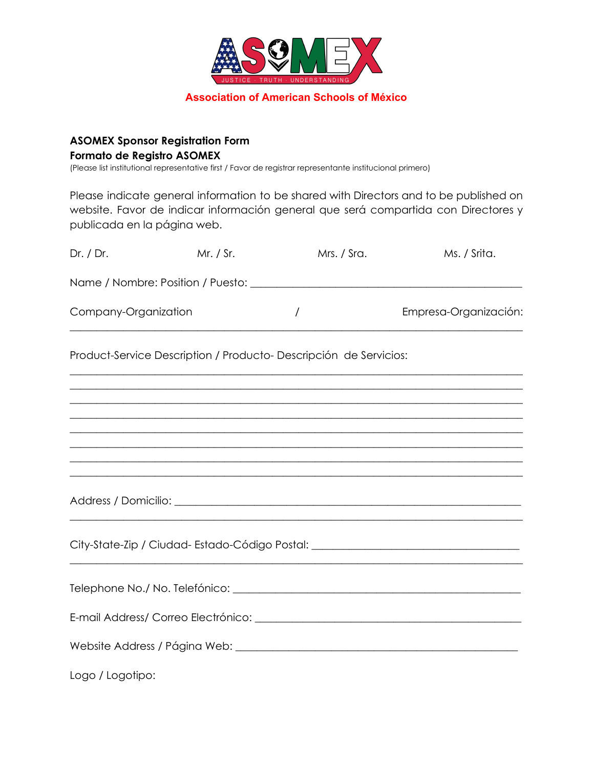

**Association of American Schools of México**

## **ASOMEX Sponsor Registration Form Formato de Registro ASOMEX**

(Please list institutional representative first / Favor de registrar representante institucional primero)

Please indicate general information to be shared with Directors and to be published on website. Favor de indicar información general que será compartida con Directores y publicada en la página web.

| Dr. / Dr.            | Mr. / Sr. | Mrs. / Sra.                                                                                                     | Ms. / Srita.                                                                                                                                                                                                                                              |
|----------------------|-----------|-----------------------------------------------------------------------------------------------------------------|-----------------------------------------------------------------------------------------------------------------------------------------------------------------------------------------------------------------------------------------------------------|
|                      |           |                                                                                                                 |                                                                                                                                                                                                                                                           |
| Company-Organization |           | $\prime$                                                                                                        | Empresa-Organización:                                                                                                                                                                                                                                     |
|                      |           | Product-Service Description / Producto- Descripción de Servicios:                                               |                                                                                                                                                                                                                                                           |
|                      |           |                                                                                                                 | ,我们也不会有什么。""我们的人,我们也不会有什么?""我们的人,我们也不会有什么?""我们的人,我们也不会有什么?""我们的人,我们也不会有什么?""我们的人<br>,我们也不会有什么?""我们的人,我们也不会有什么?""我们的人,我们也不会有什么?""我们的人,我们也不会有什么?""我们的人,我们也不会有什么?""我们的人<br>,我们也不能在这里的时候,我们也不能在这里的时候,我们也不能不能不能不能不能不能不能不能不能不能不能不能不能不能不能。""我们的是,我们也不能不能不能不能不能不能 |
|                      |           |                                                                                                                 | ,我们也不会有什么?""我们的人,我们也不会有什么?""我们的人,我们也不会有什么?""我们的人,我们也不会有什么?""我们的人,我们也不会有什么?""我们的人                                                                                                                                                                          |
|                      |           |                                                                                                                 |                                                                                                                                                                                                                                                           |
|                      |           |                                                                                                                 | City-State-Zip / Ciudad-Estado-Código Postal: __________________________________                                                                                                                                                                          |
|                      |           |                                                                                                                 |                                                                                                                                                                                                                                                           |
|                      |           |                                                                                                                 |                                                                                                                                                                                                                                                           |
|                      |           | Website Address / Página Web: \\connection = \\connection = \\connection = \\connection = \\connection = \\conn |                                                                                                                                                                                                                                                           |
| Logo / Logotipo:     |           |                                                                                                                 |                                                                                                                                                                                                                                                           |